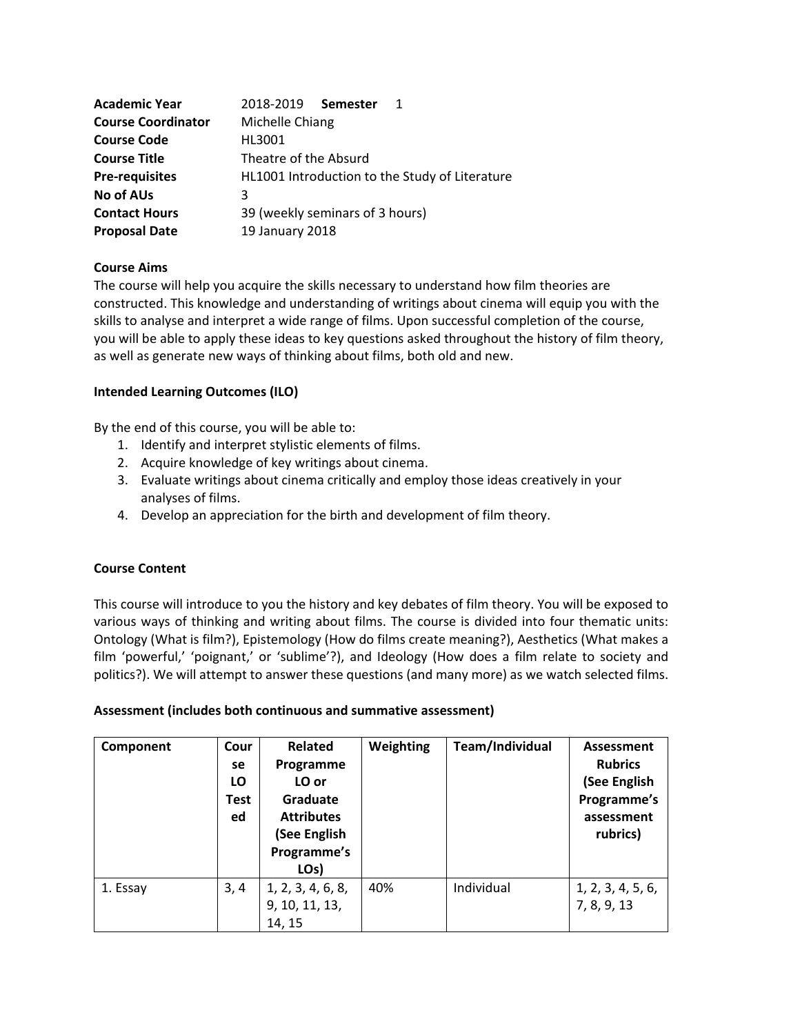| <b>Academic Year</b>      | 2018-2019 Semester                             |  |  |  |  |
|---------------------------|------------------------------------------------|--|--|--|--|
| <b>Course Coordinator</b> | Michelle Chiang                                |  |  |  |  |
| <b>Course Code</b>        | HI 3001                                        |  |  |  |  |
| <b>Course Title</b>       | Theatre of the Absurd                          |  |  |  |  |
| <b>Pre-requisites</b>     | HL1001 Introduction to the Study of Literature |  |  |  |  |
| No of AUs                 |                                                |  |  |  |  |
| <b>Contact Hours</b>      | 39 (weekly seminars of 3 hours)                |  |  |  |  |
| <b>Proposal Date</b>      | 19 January 2018                                |  |  |  |  |

#### **Course Aims**

The course will help you acquire the skills necessary to understand how film theories are constructed. This knowledge and understanding of writings about cinema will equip you with the skills to analyse and interpret a wide range of films. Upon successful completion of the course, you will be able to apply these ideas to key questions asked throughout the history of film theory, as well as generate new ways of thinking about films, both old and new.

**Intended Learning Outcomes (ILO)**

By the end of this course, you will be able to:

- 1. Identify and interpret stylistic elements of films.
- 2. Acquire knowledge of key writings about cinema.
- 3. Evaluate writings about cinema critically and employ those ideas creatively in your analyses of films.
- 4. Develop an appreciation for the birth and development of film theory.

## **Course Content**

This course will introduce to you the history and key debates of film theory. You will be exposed to various ways of thinking and writing about films. The course is divided into four thematic units: Ontology (What is film?), Epistemology (How do films create meaning?), Aesthetics (What makes a film 'powerful,' 'poignant,' or 'sublime'?), and Ideology (How does a film relate to society and politics?). We will attempt to answer these questions (and many more) as we watch selected films.

**Assessment (includes both continuous and summative assessment)**

| Component | Cour<br>se<br>LO<br><b>Test</b><br>ed | <b>Related</b><br>Programme<br>LO or<br>Graduate<br><b>Attributes</b><br>(See English<br>Programme's<br>LO <sub>s</sub> ) | Weighting | Team/Individual | Assessment<br><b>Rubrics</b><br>(See English<br>Programme's<br>assessment<br>rubrics) |
|-----------|---------------------------------------|---------------------------------------------------------------------------------------------------------------------------|-----------|-----------------|---------------------------------------------------------------------------------------|
| 1. Essay  | 3,4                                   | 1, 2, 3, 4, 6, 8,<br>9, 10, 11, 13,<br>14, 15                                                                             | 40%       | Individual      | 1, 2, 3, 4, 5, 6,<br>7, 8, 9, 13                                                      |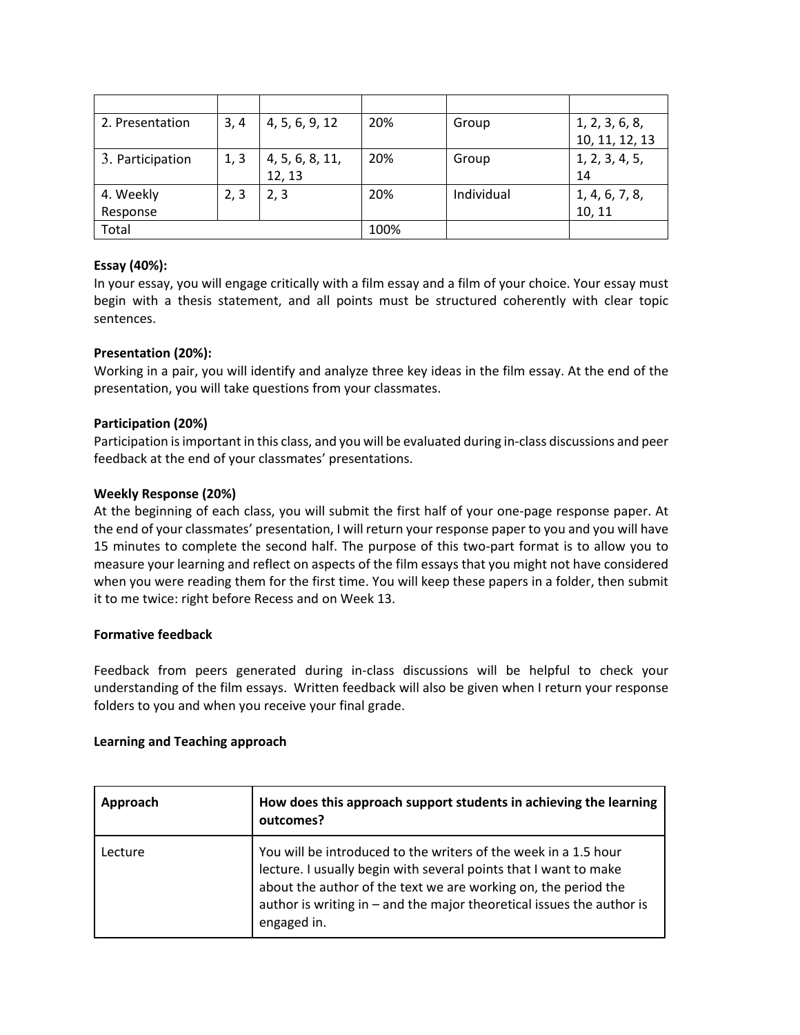| 2. Presentation  | 3.4  | 4, 5, 6, 9, 12  | 20% | Group      | 1, 2, 3, 6, 8, |
|------------------|------|-----------------|-----|------------|----------------|
|                  |      |                 |     |            | 10, 11, 12, 13 |
| 3. Participation | 1, 3 | 4, 5, 6, 8, 11, | 20% | Group      | 1, 2, 3, 4, 5, |
|                  |      | 12, 13          |     |            | 14             |
| 4. Weekly        | 2, 3 | 2, 3            | 20% | Individual | 1, 4, 6, 7, 8, |
| Response         |      |                 |     |            | 10, 11         |
| Total            |      | 100%            |     |            |                |

# **Essay (40%):**

In your essay, you will engage critically with a film essay and a film of your choice. Your essay must begin with a thesis statement, and all points must be structured coherently with clear topic sentences.

# **Presentation (20%):**

Working in a pair, you will identify and analyze three key ideas in the film essay. At the end of the presentation, you will take questions from your classmates.

## **Participation (20%)**

Participation is important in this class, and you will be evaluated during in-class discussions and peer feedback at the end of your classmates' presentations.

## **Weekly Response (20%)**

At the beginning of each class, you will submit the first half of your one-page response paper. At the end of your classmates' presentation, I will return your response paper to you and you will have 15 minutes to complete the second half. The purpose of this two-part format is to allow you to measure your learning and reflect on aspects of the film essays that you might not have considered when you were reading them for the first time. You will keep these papers in a folder, then submit it to me twice: right before Recess and on Week 13.

#### **Formative feedback**

Feedback from peers generated during in-class discussions will be helpful to check your understanding of the film essays. Written feedback will also be given when I return your response folders to you and when you receive your final grade.

## **Learning and Teaching approach**

| Approach | How does this approach support students in achieving the learning<br>outcomes?                                                                                                                                                                                                                |  |  |
|----------|-----------------------------------------------------------------------------------------------------------------------------------------------------------------------------------------------------------------------------------------------------------------------------------------------|--|--|
| Lecture  | You will be introduced to the writers of the week in a 1.5 hour<br>lecture. I usually begin with several points that I want to make<br>about the author of the text we are working on, the period the<br>author is writing in - and the major theoretical issues the author is<br>engaged in. |  |  |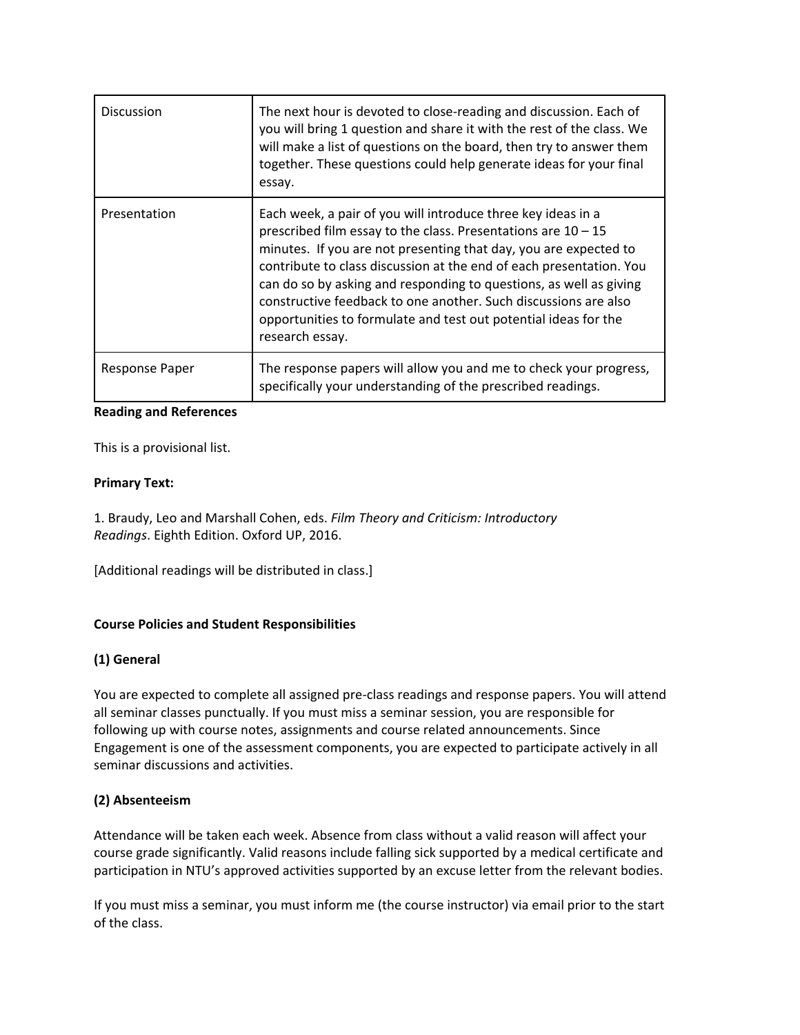| <b>Discussion</b>             | The next hour is devoted to close-reading and discussion. Each of<br>you will bring 1 question and share it with the rest of the class. We<br>will make a list of questions on the board, then try to answer them<br>together. These questions could help generate ideas for your final<br>essay.                                                                                                                                                                                                         |  |  |  |  |
|-------------------------------|-----------------------------------------------------------------------------------------------------------------------------------------------------------------------------------------------------------------------------------------------------------------------------------------------------------------------------------------------------------------------------------------------------------------------------------------------------------------------------------------------------------|--|--|--|--|
| Presentation                  | Each week, a pair of you will introduce three key ideas in a<br>prescribed film essay to the class. Presentations are $10 - 15$<br>minutes. If you are not presenting that day, you are expected to<br>contribute to class discussion at the end of each presentation. You<br>can do so by asking and responding to questions, as well as giving<br>constructive feedback to one another. Such discussions are also<br>opportunities to formulate and test out potential ideas for the<br>research essay. |  |  |  |  |
| Response Paper                | The response papers will allow you and me to check your progress,<br>specifically your understanding of the prescribed readings.                                                                                                                                                                                                                                                                                                                                                                          |  |  |  |  |
| <b>Reading and References</b> |                                                                                                                                                                                                                                                                                                                                                                                                                                                                                                           |  |  |  |  |

This is a provisional list.

## **Primary Text:**

1. Braudy, Leo and Marshall Cohen, eds. *Film Theory and Criticism: Introductory Readings*. Eighth Edition. Oxford UP, 2016.

[Additional readings will be distributed in class.]

## **Course Policies and Student Responsibilities**

## **(1) General**

You are expected to complete all assigned pre-class readings and response papers. You will attend all seminar classes punctually. If you must miss a seminar session, you are responsible for following up with course notes, assignments and course related announcements. Since Engagement is one of the assessment components, you are expected to participate actively in all seminar discussions and activities.

## **(2) Absenteeism**

Attendance will be taken each week. Absence from class without a valid reason will affect your course grade significantly. Valid reasons include falling sick supported by a medical certificate and participation in NTU's approved activities supported by an excuse letter from the relevant bodies.

If you must miss a seminar, you must inform me (the course instructor) via email prior to the start of the class.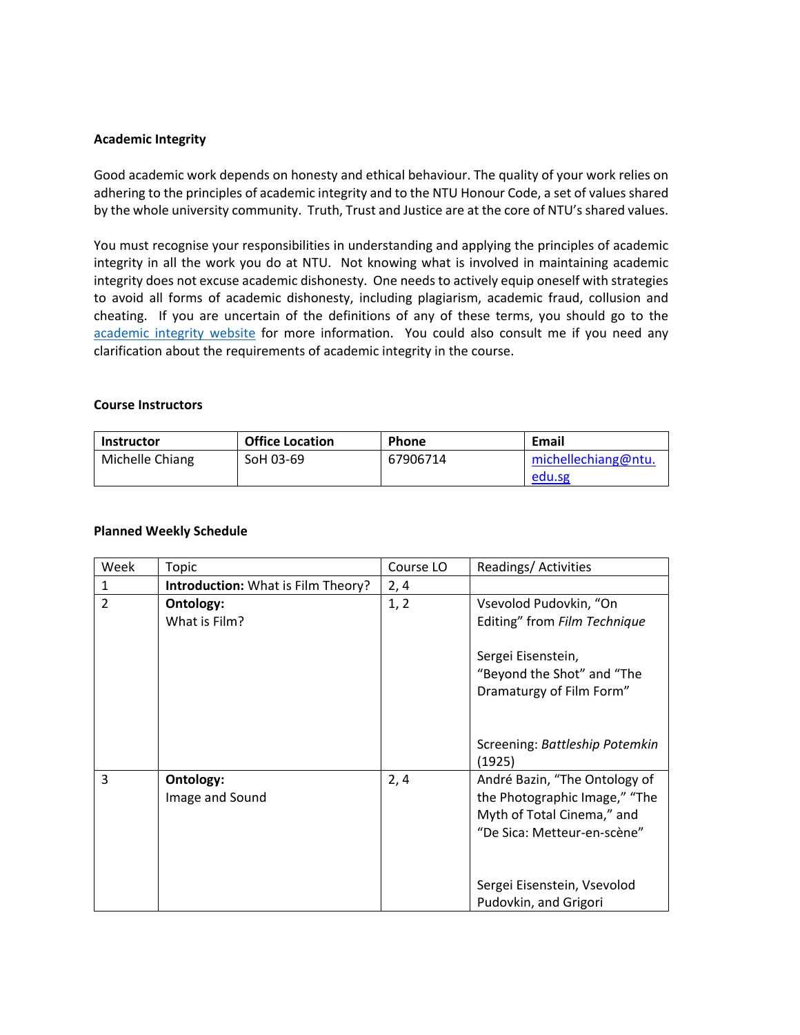#### **Academic Integrity**

Good academic work depends on honesty and ethical behaviour. The quality of your work relies on adhering to the principles of academic integrity and to the NTU Honour Code, a set of values shared by the whole university community. Truth, Trust and Justice are at the core of NTU's shared values.

You must recognise your responsibilities in understanding and applying the principles of academic integrity in all the work you do at NTU. Not knowing what is involved in maintaining academic integrity does not excuse academic dishonesty. One needs to actively equip oneself with strategies to avoid all forms of academic dishonesty, including plagiarism, academic fraud, collusion and cheating. If you are uncertain of the definitions of any of these terms, you should go to the [academic integrity website](http://www.ntu.edu.sg/ai/ForEveryone/Pages/NTUAcademicIntegrityPolicy.aspx) for more information. You could also consult me if you need any clarification about the requirements of academic integrity in the course.

| <b>Course Instructors</b> |                        |              |                     |  |  |  |
|---------------------------|------------------------|--------------|---------------------|--|--|--|
| <b>Instructor</b>         | <b>Office Location</b> | <b>Phone</b> | Email               |  |  |  |
| Michelle Chiang           | SoH 03-69              | 67906714     | michellechiang@ntu. |  |  |  |
|                           |                        |              |                     |  |  |  |

#### **Planned Weekly Schedule**

| Week           | Topic                                     | Course LO | Readings/Activities                                                                                                                    |
|----------------|-------------------------------------------|-----------|----------------------------------------------------------------------------------------------------------------------------------------|
| $\mathbf{1}$   | <b>Introduction:</b> What is Film Theory? | 2, 4      |                                                                                                                                        |
| $\overline{2}$ | Ontology:<br>What is Film?                | 1, 2      | Vsevolod Pudovkin, "On<br>Editing" from Film Technique<br>Sergei Eisenstein,<br>"Beyond the Shot" and "The<br>Dramaturgy of Film Form" |
|                |                                           |           | Screening: Battleship Potemkin<br>(1925)                                                                                               |
| 3              | Ontology:<br>Image and Sound              | 2, 4      | André Bazin, "The Ontology of<br>the Photographic Image," "The<br>Myth of Total Cinema," and<br>"De Sica: Metteur-en-scène"            |
|                |                                           |           | Sergei Eisenstein, Vsevolod<br>Pudovkin, and Grigori                                                                                   |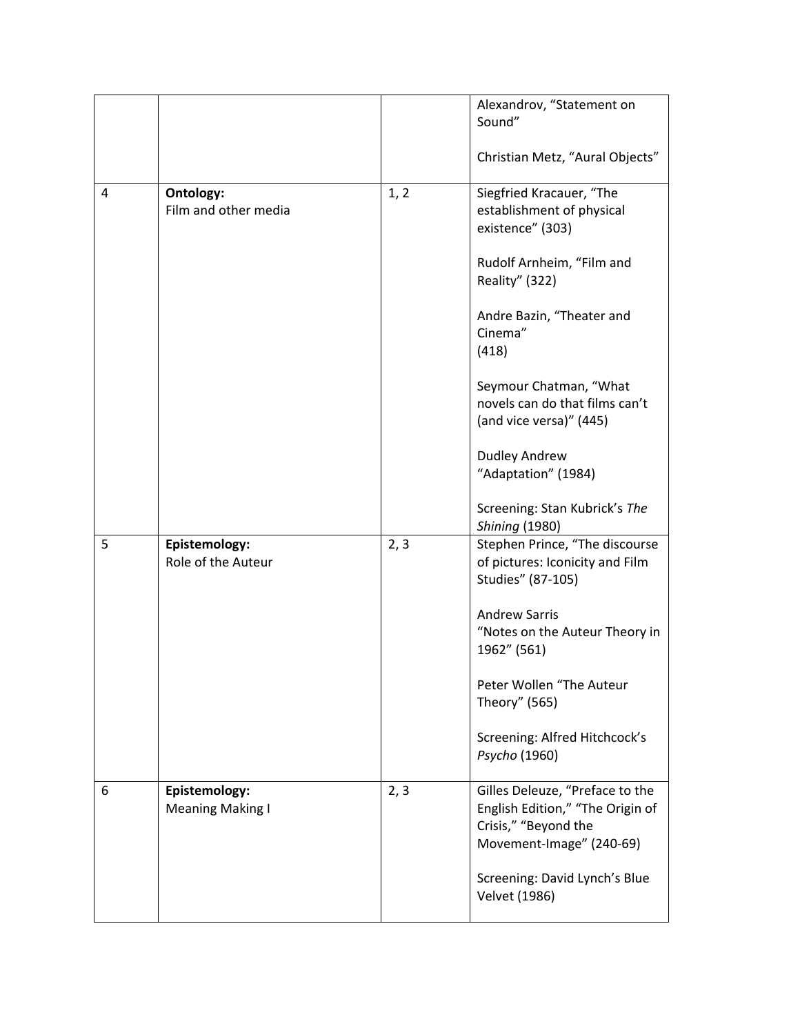|   |                                          |      | Alexandrov, "Statement on<br>Sound"<br>Christian Metz, "Aural Objects"                                                  |
|---|------------------------------------------|------|-------------------------------------------------------------------------------------------------------------------------|
| 4 | Ontology:<br>Film and other media        | 1, 2 | Siegfried Kracauer, "The<br>establishment of physical                                                                   |
|   |                                          |      | existence" (303)<br>Rudolf Arnheim, "Film and                                                                           |
|   |                                          |      | Reality" (322)<br>Andre Bazin, "Theater and<br>Cinema"                                                                  |
|   |                                          |      | (418)<br>Seymour Chatman, "What                                                                                         |
|   |                                          |      | novels can do that films can't<br>(and vice versa)" (445)                                                               |
|   |                                          |      | <b>Dudley Andrew</b><br>"Adaptation" (1984)                                                                             |
|   |                                          |      | Screening: Stan Kubrick's The<br><b>Shining (1980)</b>                                                                  |
| 5 | Epistemology:<br>Role of the Auteur      | 2, 3 | Stephen Prince, "The discourse<br>of pictures: Iconicity and Film<br>Studies" (87-105)                                  |
|   |                                          |      | <b>Andrew Sarris</b><br>"Notes on the Auteur Theory in<br>1962" (561)                                                   |
|   |                                          |      | Peter Wollen "The Auteur<br>Theory" (565)                                                                               |
|   |                                          |      | Screening: Alfred Hitchcock's<br>Psycho (1960)                                                                          |
| 6 | Epistemology:<br><b>Meaning Making I</b> | 2, 3 | Gilles Deleuze, "Preface to the<br>English Edition," "The Origin of<br>Crisis," "Beyond the<br>Movement-Image" (240-69) |
|   |                                          |      | Screening: David Lynch's Blue<br><b>Velvet (1986)</b>                                                                   |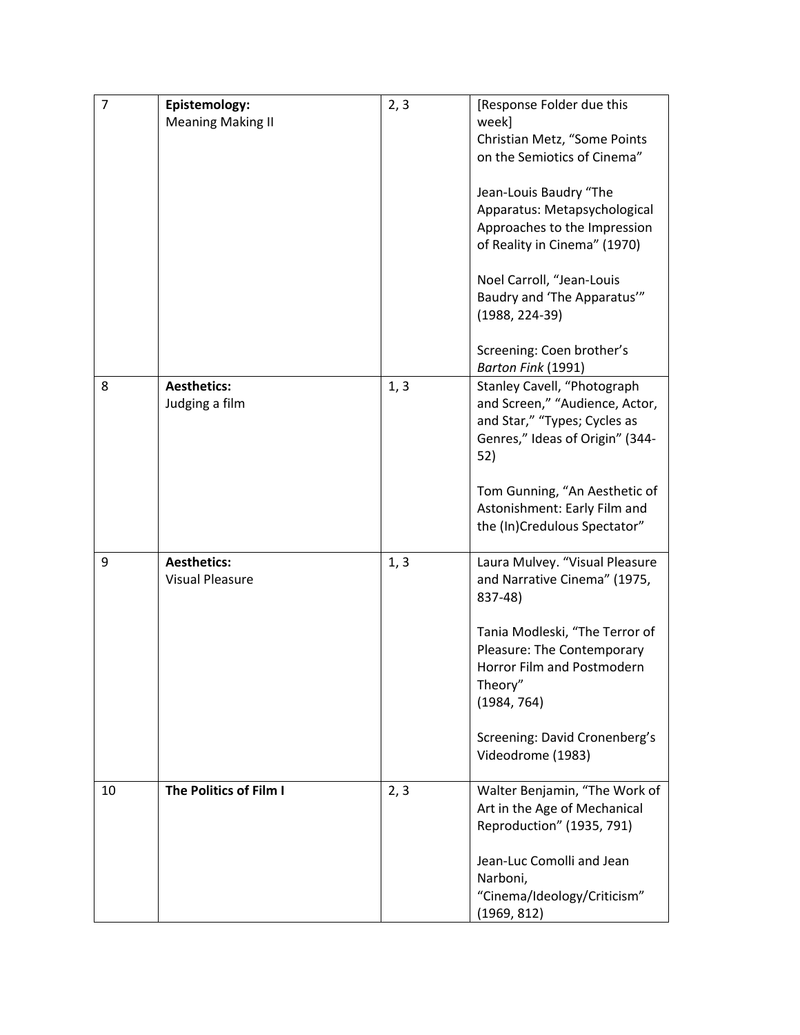| $\overline{7}$ | Epistemology:            | 2, 3 | [Response Folder due this                                      |
|----------------|--------------------------|------|----------------------------------------------------------------|
|                | <b>Meaning Making II</b> |      | week]                                                          |
|                |                          |      | Christian Metz, "Some Points                                   |
|                |                          |      | on the Semiotics of Cinema"                                    |
|                |                          |      |                                                                |
|                |                          |      | Jean-Louis Baudry "The                                         |
|                |                          |      | Apparatus: Metapsychological                                   |
|                |                          |      | Approaches to the Impression<br>of Reality in Cinema" (1970)   |
|                |                          |      |                                                                |
|                |                          |      | Noel Carroll, "Jean-Louis                                      |
|                |                          |      | Baudry and 'The Apparatus'"                                    |
|                |                          |      | $(1988, 224-39)$                                               |
|                |                          |      |                                                                |
|                |                          |      | Screening: Coen brother's                                      |
|                |                          |      | Barton Fink (1991)                                             |
| 8              | <b>Aesthetics:</b>       | 1, 3 | Stanley Cavell, "Photograph                                    |
|                | Judging a film           |      | and Screen," "Audience, Actor,                                 |
|                |                          |      | and Star," "Types; Cycles as                                   |
|                |                          |      | Genres," Ideas of Origin" (344-                                |
|                |                          |      | 52)                                                            |
|                |                          |      |                                                                |
|                |                          |      | Tom Gunning, "An Aesthetic of                                  |
|                |                          |      | Astonishment: Early Film and                                   |
|                |                          |      | the (In)Credulous Spectator"                                   |
| 9              | <b>Aesthetics:</b>       |      |                                                                |
|                | <b>Visual Pleasure</b>   | 1, 3 | Laura Mulvey. "Visual Pleasure<br>and Narrative Cinema" (1975, |
|                |                          |      | 837-48)                                                        |
|                |                          |      |                                                                |
|                |                          |      | Tania Modleski, "The Terror of                                 |
|                |                          |      | Pleasure: The Contemporary                                     |
|                |                          |      | Horror Film and Postmodern                                     |
|                |                          |      | Theory"                                                        |
|                |                          |      | (1984, 764)                                                    |
|                |                          |      |                                                                |
|                |                          |      | Screening: David Cronenberg's                                  |
|                |                          |      | Videodrome (1983)                                              |
|                |                          |      |                                                                |
| 10             | The Politics of Film I   | 2, 3 | Walter Benjamin, "The Work of                                  |
|                |                          |      | Art in the Age of Mechanical                                   |
|                |                          |      | Reproduction" (1935, 791)                                      |
|                |                          |      |                                                                |
|                |                          |      | Jean-Luc Comolli and Jean                                      |
|                |                          |      | Narboni,<br>"Cinema/Ideology/Criticism"                        |
|                |                          |      |                                                                |
|                |                          |      | (1969, 812)                                                    |